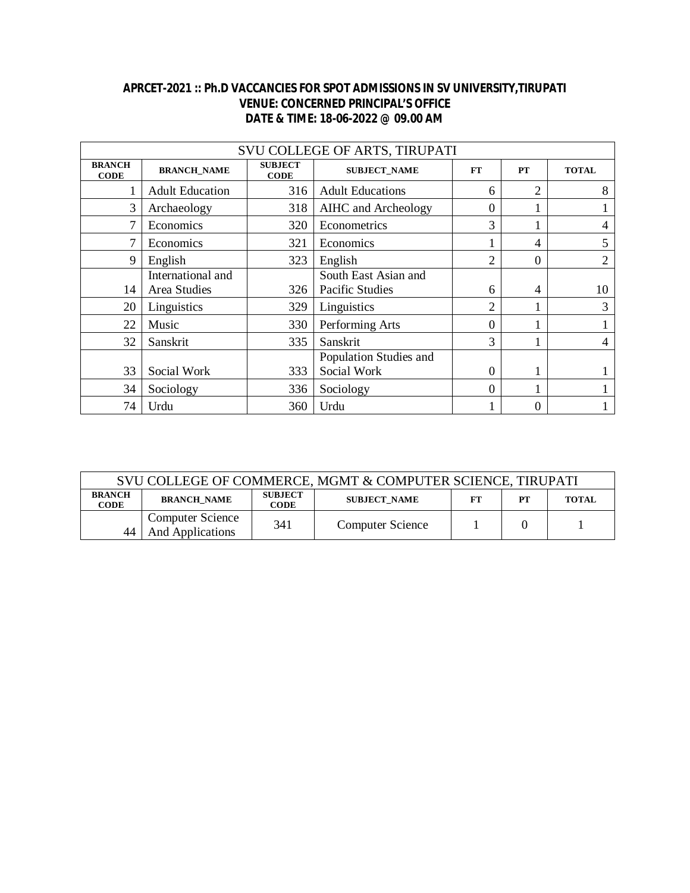## **APRCET-2021 :: Ph.D VACCANCIES FOR SPOT ADMISSIONS IN SV UNIVERSITY,TIRUPATI VENUE: CONCERNED PRINCIPAL'S OFFICE DATE & TIME: 18-06-2022 @ 09.00 AM**

| SVU COLLEGE OF ARTS, TIRUPATI |                                   |                               |                                               |                |                |              |  |  |
|-------------------------------|-----------------------------------|-------------------------------|-----------------------------------------------|----------------|----------------|--------------|--|--|
| <b>BRANCH</b><br><b>CODE</b>  | <b>BRANCH_NAME</b>                | <b>SUBJECT</b><br><b>CODE</b> | <b>SUBJECT_NAME</b><br><b>FT</b><br><b>PT</b> |                |                | <b>TOTAL</b> |  |  |
|                               | <b>Adult Education</b>            | 316                           | <b>Adult Educations</b>                       | 6              | $\overline{2}$ | 8            |  |  |
| 3                             | Archaeology                       | 318                           | AIHC and Archeology                           | 0              |                |              |  |  |
| 7                             | Economics                         | 320                           | Econometrics                                  | 3              |                |              |  |  |
| 7                             | Economics                         | 321                           | Economics                                     |                | 4              | 5            |  |  |
| 9                             | English                           | 323                           | English                                       | $\overline{c}$ | $\theta$       | 2            |  |  |
| 14                            | International and<br>Area Studies | 326                           | South East Asian and<br>Pacific Studies       | 6              | 4              | 10           |  |  |
| 20                            | Linguistics                       | 329                           | Linguistics                                   | $\overline{2}$ |                | 3            |  |  |
| 22                            | Music                             | 330                           | Performing Arts                               | 0              |                |              |  |  |
| 32                            | Sanskrit                          | 335                           | Sanskrit                                      | 3              |                |              |  |  |
| 33                            | Social Work                       | 333                           | Population Studies and<br>Social Work         | 0              |                |              |  |  |
| 34                            | Sociology                         | 336                           | Sociology                                     | $\Omega$       |                |              |  |  |
| 74                            | Urdu                              | 360                           | Urdu                                          |                | $\overline{0}$ |              |  |  |

| SVU COLLEGE OF COMMERCE, MGMT & COMPUTER SCIENCE, TIRUPATI |                                             |                               |                                  |  |    |              |  |
|------------------------------------------------------------|---------------------------------------------|-------------------------------|----------------------------------|--|----|--------------|--|
| <b>BRANCH</b><br><b>CODE</b>                               | <b>BRANCH NAME</b>                          | <b>SUBJECT</b><br><b>CODE</b> | <b>SUBJECT NAME</b><br><b>FT</b> |  | PT | <b>TOTAL</b> |  |
| 44                                                         | <b>Computer Science</b><br>And Applications | 341                           | <b>Computer Science</b>          |  |    |              |  |